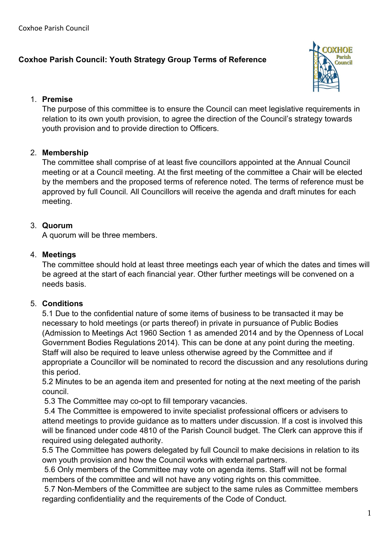# **Coxhoe Parish Council: Youth Strategy Group Terms of Reference**



#### 1. **Premise**

The purpose of this committee is to ensure the Council can meet legislative requirements in relation to its own youth provision, to agree the direction of the Council's strategy towards youth provision and to provide direction to Officers.

# 2. **Membership**

The committee shall comprise of at least five councillors appointed at the Annual Council meeting or at a Council meeting. At the first meeting of the committee a Chair will be elected by the members and the proposed terms of reference noted. The terms of reference must be approved by full Council. All Councillors will receive the agenda and draft minutes for each meeting.

# 3. **Quorum**

A quorum will be three members.

### 4. **Meetings**

The committee should hold at least three meetings each year of which the dates and times will be agreed at the start of each financial year. Other further meetings will be convened on a needs basis.

### 5. **Conditions**

5.1 Due to the confidential nature of some items of business to be transacted it may be necessary to hold meetings (or parts thereof) in private in pursuance of Public Bodies (Admission to Meetings Act 1960 Section 1 as amended 2014 and by the Openness of Local Government Bodies Regulations 2014). This can be done at any point during the meeting. Staff will also be required to leave unless otherwise agreed by the Committee and if appropriate a Councillor will be nominated to record the discussion and any resolutions during this period.

5.2 Minutes to be an agenda item and presented for noting at the next meeting of the parish council.

5.3 The Committee may co-opt to fill temporary vacancies.

5.4 The Committee is empowered to invite specialist professional officers or advisers to attend meetings to provide guidance as to matters under discussion. If a cost is involved this will be financed under code 4810 of the Parish Council budget. The Clerk can approve this if required using delegated authority.

5.5 The Committee has powers delegated by full Council to make decisions in relation to its own youth provision and how the Council works with external partners.

5.6 Only members of the Committee may vote on agenda items. Staff will not be formal members of the committee and will not have any voting rights on this committee.

5.7 Non-Members of the Committee are subject to the same rules as Committee members regarding confidentiality and the requirements of the Code of Conduct.